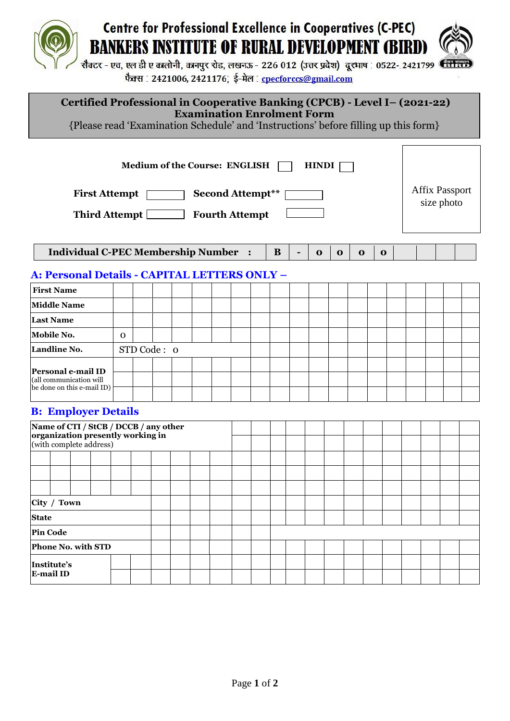# **Centre for Professional Excellence in Cooperatives (C-PEC) BANKERS INSTITUTE OF RURAL DEVELOPMENT (BIRD)**



सैक्टर - एच, एल डी ए कालोनी, कानपुर रोड, लखनऊ - 226 012 (उत्तर प्रदेश) दूरभाष : 0522- 2421799 स्ति फैक्स : 2421006, 2421176; ई-मेल : cpecforccs@gmail.com

### **Certified Professional in Cooperative Banking (CPCB) - Level I– (2021-22) Examination Enrolment Form**

{Please read 'Examination Schedule' and 'Instructions' before filling up this form}

| <b>Medium of the Course: ENGLISH</b><br><b>HINDI</b><br><b>First Attempt</b><br><b>Second Attempt**</b><br><b>Third Attempt</b><br><b>Fourth Attempt</b> |          |  |  |  |  |  |  |  |   | <b>Affix Passport</b><br>size photo |          |              |             |  |  |  |  |
|----------------------------------------------------------------------------------------------------------------------------------------------------------|----------|--|--|--|--|--|--|--|---|-------------------------------------|----------|--------------|-------------|--|--|--|--|
| <b>Individual C-PEC Membership Number :</b>                                                                                                              |          |  |  |  |  |  |  |  | B | $\mathbf 0$                         | $\Omega$ | $\mathbf{o}$ | $\mathbf 0$ |  |  |  |  |
| <b>A: Personal Details - CAPITAL LETTERS ONLY –</b>                                                                                                      |          |  |  |  |  |  |  |  |   |                                     |          |              |             |  |  |  |  |
| <b>First Name</b>                                                                                                                                        |          |  |  |  |  |  |  |  |   |                                     |          |              |             |  |  |  |  |
| <b>Middle Name</b>                                                                                                                                       |          |  |  |  |  |  |  |  |   |                                     |          |              |             |  |  |  |  |
| <b>Last Name</b>                                                                                                                                         |          |  |  |  |  |  |  |  |   |                                     |          |              |             |  |  |  |  |
| Mobile No.                                                                                                                                               | $\Omega$ |  |  |  |  |  |  |  |   |                                     |          |              |             |  |  |  |  |
| STD Code: 0<br>Landline No.                                                                                                                              |          |  |  |  |  |  |  |  |   |                                     |          |              |             |  |  |  |  |
| Personal e-mail ID<br>(all communication will<br>be done on this e-mail ID)                                                                              |          |  |  |  |  |  |  |  |   |                                     |          |              |             |  |  |  |  |

#### **B: Employer Details**

| Name of CTI / StCB / DCCB / any other<br>organization presently working in |                  |  |  |  |  |  |  |  |  |  |  |  |  |  |  |  |  |  |  |
|----------------------------------------------------------------------------|------------------|--|--|--|--|--|--|--|--|--|--|--|--|--|--|--|--|--|--|
| (with complete address)                                                    |                  |  |  |  |  |  |  |  |  |  |  |  |  |  |  |  |  |  |  |
|                                                                            |                  |  |  |  |  |  |  |  |  |  |  |  |  |  |  |  |  |  |  |
|                                                                            |                  |  |  |  |  |  |  |  |  |  |  |  |  |  |  |  |  |  |  |
|                                                                            |                  |  |  |  |  |  |  |  |  |  |  |  |  |  |  |  |  |  |  |
| City / Town                                                                |                  |  |  |  |  |  |  |  |  |  |  |  |  |  |  |  |  |  |  |
| <b>State</b>                                                               |                  |  |  |  |  |  |  |  |  |  |  |  |  |  |  |  |  |  |  |
| <b>Pin Code</b>                                                            |                  |  |  |  |  |  |  |  |  |  |  |  |  |  |  |  |  |  |  |
| Phone No. with STD                                                         |                  |  |  |  |  |  |  |  |  |  |  |  |  |  |  |  |  |  |  |
| Institute's                                                                |                  |  |  |  |  |  |  |  |  |  |  |  |  |  |  |  |  |  |  |
|                                                                            | <b>E-mail ID</b> |  |  |  |  |  |  |  |  |  |  |  |  |  |  |  |  |  |  |